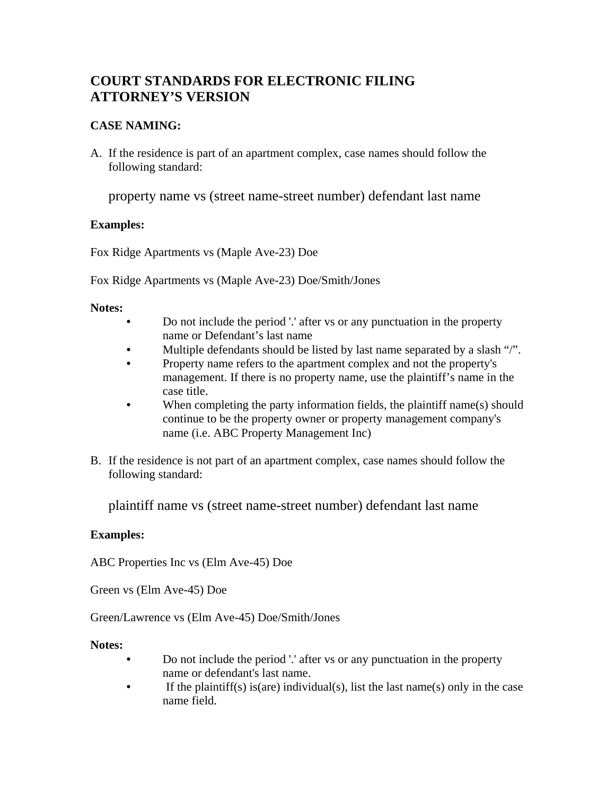# **COURT STANDARDS FOR ELECTRONIC FILING ATTORNEY'S VERSION**

## **CASE NAMING:**

A. If the residence is part of an apartment complex, case names should follow the following standard:

property name vs (street name-street number) defendant last name

### **Examples:**

Fox Ridge Apartments vs (Maple Ave-23) Doe

Fox Ridge Apartments vs (Maple Ave-23) Doe/Smith/Jones

#### **Notes:**

- Do not include the period '.' after vs or any punctuation in the property name or Defendant's last name
- Multiple defendants should be listed by last name separated by a slash "/".
- Property name refers to the apartment complex and not the property's management. If there is no property name, use the plaintiff's name in the case title.
- When completing the party information fields, the plaintiff name(s) should continue to be the property owner or property management company's name (i.e. ABC Property Management Inc)
- B. If the residence is not part of an apartment complex, case names should follow the following standard:

plaintiff name vs (street name-street number) defendant last name

### **Examples:**

ABC Properties Inc vs (Elm Ave-45) Doe

Green vs (Elm Ave-45) Doe

Green/Lawrence vs (Elm Ave-45) Doe/Smith/Jones

#### **Notes:**

- Do not include the period '.' after vs or any punctuation in the property name or defendant's last name.
- If the plaintiff(s) is(are) individual(s), list the last name(s) only in the case name field.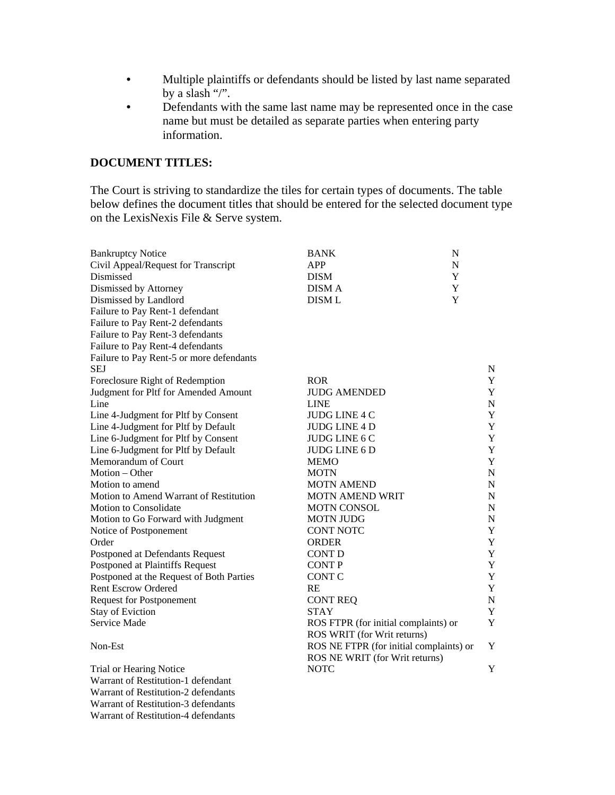- Multiple plaintiffs or defendants should be listed by last name separated by a slash "/".
- Defendants with the same last name may be represented once in the case name but must be detailed as separate parties when entering party information.

#### **DOCUMENT TITLES:**

Warrant of Restitution-2 defendants Warrant of Restitution-3 defendants Warrant of Restitution-4 defendants

The Court is striving to standardize the tiles for certain types of documents. The table below defines the document titles that should be entered for the selected document type on the LexisNexis File & Serve system.

| <b>Bankruptcy Notice</b>                 | <b>BANK</b><br>${\bf N}$                |             |
|------------------------------------------|-----------------------------------------|-------------|
| Civil Appeal/Request for Transcript      | <b>APP</b><br>${\bf N}$                 |             |
| Dismissed                                | <b>DISM</b><br>Y                        |             |
| Dismissed by Attorney                    | Y<br><b>DISMA</b>                       |             |
| Dismissed by Landlord                    | Y<br><b>DISM L</b>                      |             |
| Failure to Pay Rent-1 defendant          |                                         |             |
| Failure to Pay Rent-2 defendants         |                                         |             |
| Failure to Pay Rent-3 defendants         |                                         |             |
| Failure to Pay Rent-4 defendants         |                                         |             |
| Failure to Pay Rent-5 or more defendants |                                         |             |
| <b>SEJ</b>                               |                                         | $\mathbf N$ |
| Foreclosure Right of Redemption          | <b>ROR</b>                              | Y           |
| Judgment for Pltf for Amended Amount     | <b>JUDG AMENDED</b>                     | Y           |
| Line                                     | <b>LINE</b>                             | ${\bf N}$   |
| Line 4-Judgment for Pltf by Consent      | JUDG LINE 4 C                           | Y           |
| Line 4-Judgment for Pltf by Default      | JUDG LINE 4 D                           | Y           |
| Line 6-Judgment for Pltf by Consent      | JUDG LINE 6 C                           | $\mathbf Y$ |
| Line 6-Judgment for Pltf by Default      | JUDG LINE 6 D                           | $\mathbf Y$ |
| Memorandum of Court                      | <b>MEMO</b>                             | Y           |
| Motion - Other                           | <b>MOTN</b>                             | $\mathbf N$ |
| Motion to amend                          | <b>MOTN AMEND</b>                       | $\mathbf N$ |
| Motion to Amend Warrant of Restitution   | <b>MOTN AMEND WRIT</b>                  | $\mathbf N$ |
| Motion to Consolidate                    | <b>MOTN CONSOL</b>                      | $\mathbf N$ |
| Motion to Go Forward with Judgment       | <b>MOTN JUDG</b>                        | ${\bf N}$   |
| Notice of Postponement                   | <b>CONT NOTC</b>                        | $\mathbf Y$ |
| Order                                    | <b>ORDER</b>                            | Y           |
| Postponed at Defendants Request          | <b>CONT D</b>                           | $\mathbf Y$ |
| Postponed at Plaintiffs Request          | <b>CONTP</b>                            | $\mathbf Y$ |
| Postponed at the Request of Both Parties | <b>CONT C</b>                           | Y           |
| <b>Rent Escrow Ordered</b>               | RE                                      | $\mathbf Y$ |
| <b>Request for Postponement</b>          | <b>CONT REQ</b>                         | $\mathbf N$ |
| <b>Stay of Eviction</b>                  | <b>STAY</b>                             | Y           |
| Service Made                             | ROS FTPR (for initial complaints) or    | Y           |
|                                          | ROS WRIT (for Writ returns)             |             |
| Non-Est                                  | ROS NE FTPR (for initial complaints) or | $\mathbf Y$ |
|                                          | ROS NE WRIT (for Writ returns)          |             |
| Trial or Hearing Notice                  | <b>NOTC</b>                             | Y           |
| Warrant of Restitution-1 defendant       |                                         |             |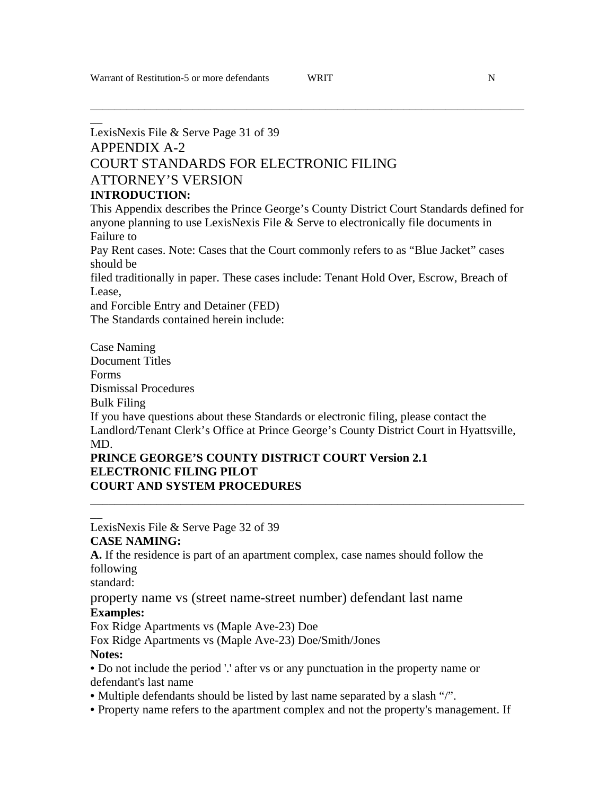$\overline{\phantom{a}}$ 

\_\_\_\_\_\_\_\_\_\_\_\_\_\_\_\_\_\_\_\_\_\_\_\_\_\_\_\_\_\_\_\_\_\_\_\_\_\_\_\_\_\_\_\_\_\_\_\_\_\_\_\_\_\_\_\_\_\_\_\_\_\_\_\_\_\_\_\_\_\_\_\_

## LexisNexis File & Serve Page 31 of 39 APPENDIX A-2 COURT STANDARDS FOR ELECTRONIC FILING ATTORNEY'S VERSION **INTRODUCTION:**

This Appendix describes the Prince George's County District Court Standards defined for anyone planning to use LexisNexis File & Serve to electronically file documents in Failure to

Pay Rent cases. Note: Cases that the Court commonly refers to as "Blue Jacket" cases should be

filed traditionally in paper. These cases include: Tenant Hold Over, Escrow, Breach of Lease,

and Forcible Entry and Detainer (FED)

The Standards contained herein include:

Case Naming Document Titles Forms Dismissal Procedures Bulk Filing If you have questions about these Standards or electronic filing, please contact the Landlord/Tenant Clerk's Office at Prince George's County District Court in Hyattsville, MD.

\_\_\_\_\_\_\_\_\_\_\_\_\_\_\_\_\_\_\_\_\_\_\_\_\_\_\_\_\_\_\_\_\_\_\_\_\_\_\_\_\_\_\_\_\_\_\_\_\_\_\_\_\_\_\_\_\_\_\_\_\_\_\_\_\_\_\_\_\_\_\_\_

#### **PRINCE GEORGE'S COUNTY DISTRICT COURT Version 2.1 ELECTRONIC FILING PILOT COURT AND SYSTEM PROCEDURES**

LexisNexis File & Serve Page 32 of 39

### **CASE NAMING:**

**A.** If the residence is part of an apartment complex, case names should follow the following

standard:

 $\overline{\phantom{a}}$ 

#### property name vs (street name-street number) defendant last name **Examples:**

Fox Ridge Apartments vs (Maple Ave-23) Doe

Fox Ridge Apartments vs (Maple Ave-23) Doe/Smith/Jones

### **Notes:**

• Do not include the period '.' after vs or any punctuation in the property name or defendant's last name

• Multiple defendants should be listed by last name separated by a slash "/".

• Property name refers to the apartment complex and not the property's management. If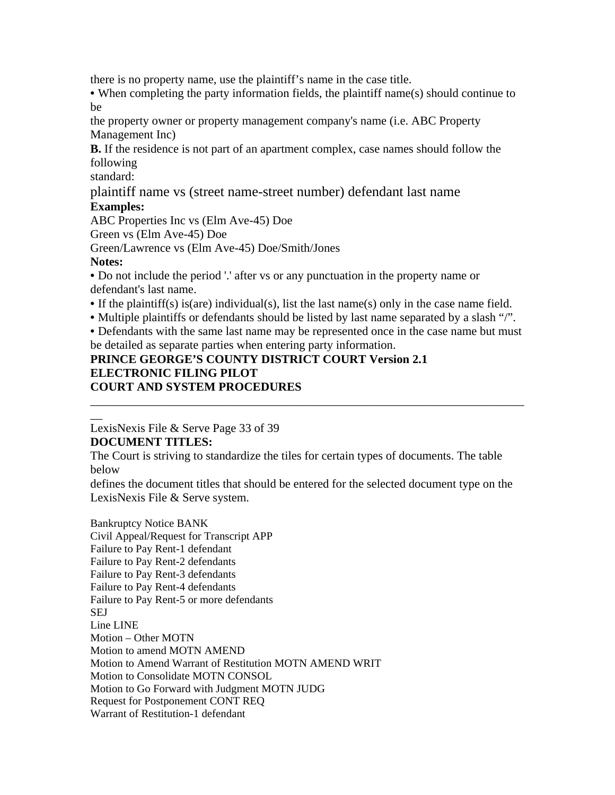there is no property name, use the plaintiff's name in the case title.

• When completing the party information fields, the plaintiff name(s) should continue to be

the property owner or property management company's name (i.e. ABC Property Management Inc)

**B.** If the residence is not part of an apartment complex, case names should follow the following

standard:

plaintiff name vs (street name-street number) defendant last name

### **Examples:**

ABC Properties Inc vs (Elm Ave-45) Doe

Green vs (Elm Ave-45) Doe

Green/Lawrence vs (Elm Ave-45) Doe/Smith/Jones

### **Notes:**

 $\overline{\phantom{a}}$ 

• Do not include the period '.' after vs or any punctuation in the property name or defendant's last name.

- If the plaintiff(s) is(are) individual(s), list the last name(s) only in the case name field.
- Multiple plaintiffs or defendants should be listed by last name separated by a slash "/".

• Defendants with the same last name may be represented once in the case name but must be detailed as separate parties when entering party information.

\_\_\_\_\_\_\_\_\_\_\_\_\_\_\_\_\_\_\_\_\_\_\_\_\_\_\_\_\_\_\_\_\_\_\_\_\_\_\_\_\_\_\_\_\_\_\_\_\_\_\_\_\_\_\_\_\_\_\_\_\_\_\_\_\_\_\_\_\_\_\_\_

## **PRINCE GEORGE'S COUNTY DISTRICT COURT Version 2.1 ELECTRONIC FILING PILOT COURT AND SYSTEM PROCEDURES**

LexisNexis File & Serve Page 33 of 39

## **DOCUMENT TITLES:**

The Court is striving to standardize the tiles for certain types of documents. The table below

defines the document titles that should be entered for the selected document type on the LexisNexis File & Serve system.

Bankruptcy Notice BANK Civil Appeal/Request for Transcript APP Failure to Pay Rent-1 defendant Failure to Pay Rent-2 defendants Failure to Pay Rent-3 defendants Failure to Pay Rent-4 defendants Failure to Pay Rent-5 or more defendants SEJ Line LINE Motion – Other MOTN Motion to amend MOTN AMEND Motion to Amend Warrant of Restitution MOTN AMEND WRIT Motion to Consolidate MOTN CONSOL Motion to Go Forward with Judgment MOTN JUDG Request for Postponement CONT REQ Warrant of Restitution-1 defendant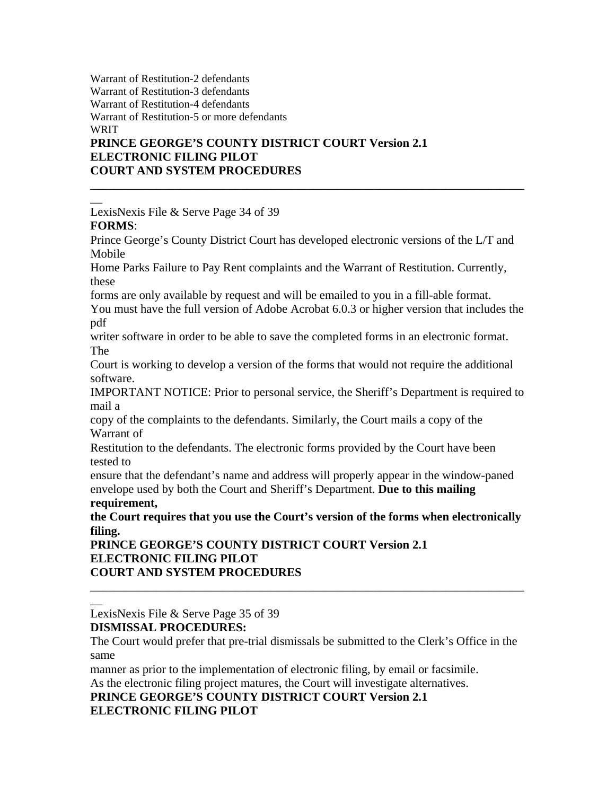Warrant of Restitution-2 defendants Warrant of Restitution-3 defendants Warrant of Restitution-4 defendants Warrant of Restitution-5 or more defendants WRIT

## **PRINCE GEORGE'S COUNTY DISTRICT COURT Version 2.1 ELECTRONIC FILING PILOT COURT AND SYSTEM PROCEDURES**

LexisNexis File & Serve Page 34 of 39 **FORMS**:

Prince George's County District Court has developed electronic versions of the L/T and Mobile

\_\_\_\_\_\_\_\_\_\_\_\_\_\_\_\_\_\_\_\_\_\_\_\_\_\_\_\_\_\_\_\_\_\_\_\_\_\_\_\_\_\_\_\_\_\_\_\_\_\_\_\_\_\_\_\_\_\_\_\_\_\_\_\_\_\_\_\_\_\_\_\_

Home Parks Failure to Pay Rent complaints and the Warrant of Restitution. Currently, these

forms are only available by request and will be emailed to you in a fill-able format.

You must have the full version of Adobe Acrobat 6.0.3 or higher version that includes the pdf

writer software in order to be able to save the completed forms in an electronic format. The

Court is working to develop a version of the forms that would not require the additional software.

IMPORTANT NOTICE: Prior to personal service, the Sheriff's Department is required to mail a

copy of the complaints to the defendants. Similarly, the Court mails a copy of the Warrant of

Restitution to the defendants. The electronic forms provided by the Court have been tested to

ensure that the defendant's name and address will properly appear in the window-paned envelope used by both the Court and Sheriff's Department. **Due to this mailing** 

### **requirement,**

 $\overline{\phantom{a}}$ 

 $\overline{\phantom{a}}$ 

**the Court requires that you use the Court's version of the forms when electronically filing.** 

**PRINCE GEORGE'S COUNTY DISTRICT COURT Version 2.1 ELECTRONIC FILING PILOT COURT AND SYSTEM PROCEDURES**  \_\_\_\_\_\_\_\_\_\_\_\_\_\_\_\_\_\_\_\_\_\_\_\_\_\_\_\_\_\_\_\_\_\_\_\_\_\_\_\_\_\_\_\_\_\_\_\_\_\_\_\_\_\_\_\_\_\_\_\_\_\_\_\_\_\_\_\_\_\_\_\_

LexisNexis File & Serve Page 35 of 39

## **DISMISSAL PROCEDURES:**

The Court would prefer that pre-trial dismissals be submitted to the Clerk's Office in the same

manner as prior to the implementation of electronic filing, by email or facsimile.

As the electronic filing project matures, the Court will investigate alternatives.

**PRINCE GEORGE'S COUNTY DISTRICT COURT Version 2.1 ELECTRONIC FILING PILOT**